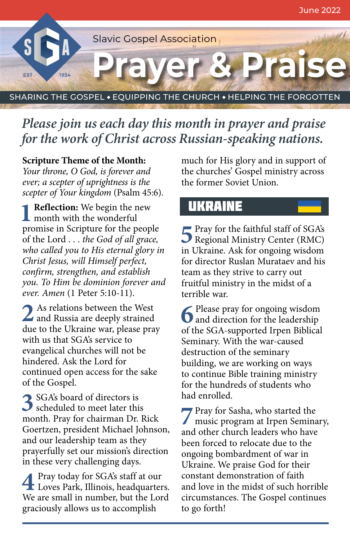

# *Please join us each day this month in prayer and praise for the work of Christ across Russian-speaking nations.*

#### **Scripture Theme of the Month:**

*Your throne, O God, is forever and ever; a scepter of uprightness is the scepter of Your kingdom* (Psalm 45:6).

**1Reflection:** We begin the new  $\blacksquare$  month with the wonderful promise in Scripture for the people of the Lord . . . *the God of all grace, who called you to His eternal glory in Christ Jesus, will Himself perfect, confirm, strengthen, and establish you. To Him be dominion forever and ever. Amen* (1 Peter 5:10-11).

**2** As relations between the West and Russia are deeply strained due to the Ukraine war, please pray with us that SGA's service to evangelical churches will not be hindered. Ask the Lord for continued open access for the sake of the Gospel.

**3**SGA's board of directors is scheduled to meet later this month. Pray for chairman Dr. Rick Goertzen, president Michael Johnson, and our leadership team as they prayerfully set our mission's direction in these very challenging days.

**4** Pray today for SGA's staff at our Loves Park, Illinois, headquarters. We are small in number, but the Lord graciously allows us to accomplish

much for His glory and in support of the churches' Gospel ministry across the former Soviet Union.

### **UKRAINE**

**F** Pray for the faithful staff of SGA's Regional Ministry Center (RMC) in Ukraine. Ask for ongoing wisdom for director Ruslan Murataev and his team as they strive to carry out fruitful ministry in the midst of a terrible war.

**6** Please pray for ongoing wisdom<br>and direction for the leadership of the SGA-supported Irpen Biblical Seminary. With the war-caused destruction of the seminary building, we are working on ways to continue Bible training ministry for the hundreds of students who had enrolled.

**7** Pray for Sasha, who started the music program at Irpen Seminary, and other church leaders who have been forced to relocate due to the ongoing bombardment of war in Ukraine. We praise God for their constant demonstration of faith and love in the midst of such horrible circumstances. The Gospel continues to go forth!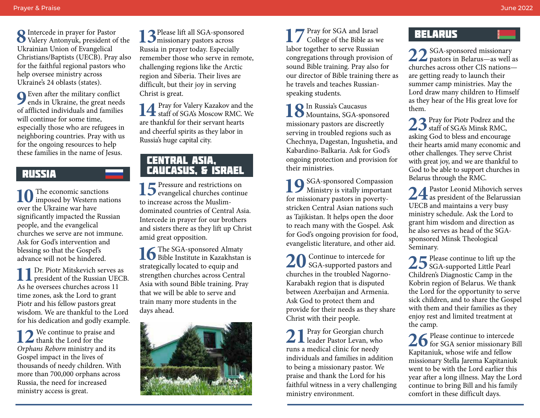**8**Intercede in prayer for Pastor Valery Antonyuk, president of the Ukrainian Union of Evangelical Christians/Baptists (UECB). Pray also for the faithful regional pastors who help oversee ministry across Ukraine's 24 oblasts (states).

**9**Even after the military conflict<br>ends in Ukraine, the great needs of afflicted individuals and families will continue for some time, especially those who are refugees in neighboring countries. Pray with us for the ongoing resources to help these families in the name of Jesus.

### Russia

10 The economic sanctions<br> **imposed by Western nations** over the Ukraine war have significantly impacted the Russian people, and the evangelical churches we serve are not immune. Ask for God's intervention and blessing so that the Gospel's advance will not be hindered.

**11** Dr. Piotr Mitskevich serves as president of the Russian UECB. As he oversees churches across 11 time zones, ask the Lord to grant Piotr and his fellow pastors great wisdom. We are thankful to the Lord for his dedication and godly example.

12<sup>2</sup> We continue to praise and  $\blacktriangle$  thank the Lord for the *Orphans Reborn* ministry and its Gospel impact in the lives of thousands of needy children. With more than 700,000 orphans across Russia, the need for increased ministry access is great.

**13**Please lift all SGA-sponsored missionary pastors across Russia in prayer today. Especially remember those who serve in remote, challenging regions like the Arctic region and Siberia. Their lives are difficult, but their joy in serving Christ is great.

14 Pray for Valery Kazakov and the staff of SGA's Moscow RMC. We are thankful for their servant hearts and cheerful spirits as they labor in Russia's huge capital city.

### CENTRAL ASIA, CAUCASUS, & ISRAEL

15<sup>Pressure</sup> and restrictions on evangelical churches continue to increase across the Muslimdominated countries of Central Asia. Intercede in prayer for our brothers and sisters there as they lift up Christ amid great opposition.

16 The SGA-sponsored Almaty<br>Bible Institute in Kazakhstan is strategically located to equip and strengthen churches across Central Asia with sound Bible training. Pray that we will be able to serve and train many more students in the days ahead.



**17** Pray for SGA and Israel College of the Bible as we labor together to serve Russian congregations through provision of sound Bible training. Pray also for our director of Bible training there as he travels and teaches Russianspeaking students.

18 In Russia's Caucasus<br> **18** Mountains, SGA-sponsored missionary pastors are discreetly serving in troubled regions such as Chechnya, Dagestan, Ingushetia, and Kabardino-Balkaria. Ask for God's ongoing protection and provision for their ministries.

**10** SGA-sponsored Compassion **Ministry is vitally important** for missionary pastors in povertystricken Central Asian nations such as Tajikistan. It helps open the door to reach many with the Gospel. Ask for God's ongoing provision for food, evangelistic literature, and other aid.

**20** Continue to intercede for SGA-supported pastors and churches in the troubled Nagorno-Karabakh region that is disputed between Azerbaijan and Armenia. Ask God to protect them and provide for their needs as they share Christ with their people.

<sup>2</sup>Pray for Georgian church  $\angle$   $\blacksquare$  leader Pastor Levan, who runs a medical clinic for needy individuals and families in addition to being a missionary pastor. We praise and thank the Lord for his faithful witness in a very challenging ministry environment.

## **BELARUS**

**22**SGA-sponsored missionary pastors in Belarus—as well as churches across other CIS nations are getting ready to launch their summer camp ministries. May the Lord draw many children to Himself as they hear of the His great love for them.

**23**Pray for Piotr Podrez and the  $\overline{\mathcal{L}}$  staff of SGA's Minsk RMC, asking God to bless and encourage their hearts amid many economic and other challenges. They serve Christ with great joy, and we are thankful to God to be able to support churches in Belarus through the RMC.

24 Pastor Leonid Mihovich serves<br>
WECP and maintains a sum hum UECB and maintains a very busy ministry schedule. Ask the Lord to grant him wisdom and direction as he also serves as head of the SGAsponsored Minsk Theological Seminary.

25 Please continue to lift up the<br>
Children's Diamontia Cours in the Children's Diagnostic Camp in the Kobrin region of Belarus. We thank the Lord for the opportunity to serve sick children, and to share the Gospel with them and their families as they enjoy rest and limited treatment at the camp.

26 Please continue to intercede<br>
Keither intervals of the state of the state of the state of the state of the state of the state of the state of the state of the state of the state of the state of the state of the state of Kapitaniuk, whose wife and fellow missionary Stella Jarema Kapitaniuk went to be with the Lord earlier this year after a long illness. May the Lord continue to bring Bill and his family comfort in these difficult days.